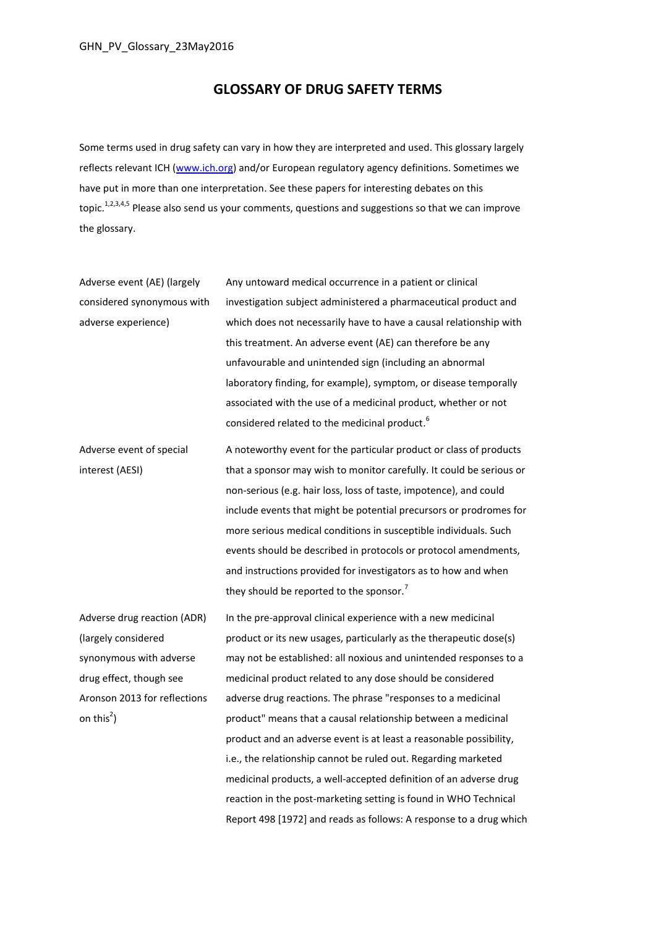### **GLOSSARY OF DRUG SAFETY TERMS**

<span id="page-0-6"></span><span id="page-0-5"></span><span id="page-0-4"></span><span id="page-0-2"></span><span id="page-0-0"></span>Some terms used in drug safety can vary in how they are interpreted and used. This glossary largely reflects relevant ICH [\(www.ich.org\)](http://www.ich.org/) and/or European regulatory agency definitions. Sometimes we have put in more than one interpretation. See these papers for interesting debates on this topic.<sup>1,2,3,4,5</sup> Please also send us your comments, questions and suggestions so that we can improve the glossary.

Adverse event (AE) (largely considered synonymous with adverse experience) Any untoward medical occurrence in a patient or clinical investigation subject administered a pharmaceutical product and which does not necessarily have to have a causal relationship with this treatment. An adverse event (AE) can therefore be any unfavourable and unintended sign (including an abnormal laboratory finding, for example), symptom, or disease temporally associated with the use of a medicinal product, whether or not considered related to the medicinal product.<sup>6</sup> Adverse event of special interest (AESI) A noteworthy event for the particular product or class of products that a sponsor may wish to monitor carefully. It could be serious or non-serious (e.g. hair loss, loss of taste, impotence), and could include events that might be potential precursors or prodromes for more serious medical conditions in susceptible individuals. Such events should be described in protocols or protocol amendments, and instructions provided for investigators as to how and when they should be reported to the sponsor.<sup>7</sup>

Adverse drug reaction (ADR) (largely considered synonymous with adverse drug effect, though see Aronson 2013 for reflections on thi[s](#page-0-0)<sup>2</sup>)

<span id="page-0-3"></span><span id="page-0-1"></span>In the pre-approval clinical experience with a new medicinal product or its new usages, particularly as the therapeutic dose(s) may not be established: all noxious and unintended responses to a medicinal product related to any dose should be considered adverse drug reactions. The phrase "responses to a medicinal product" means that a causal relationship between a medicinal product and an adverse event is at least a reasonable possibility, i.e., the relationship cannot be ruled out. Regarding marketed medicinal products, a well-accepted definition of an adverse drug reaction in the post-marketing setting is found in WHO Technical Report 498 [1972] and reads as follows: A response to a drug which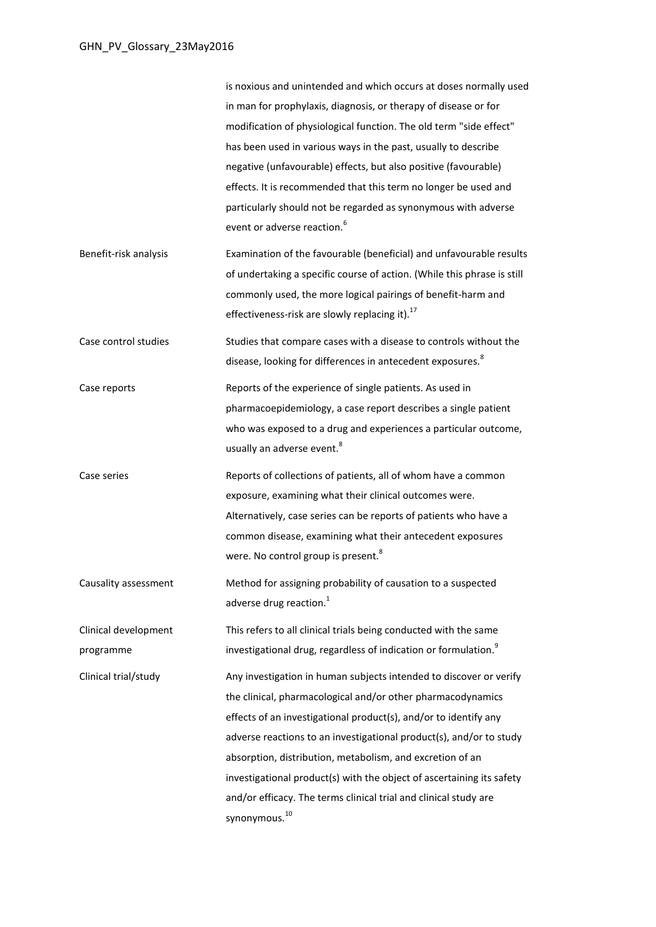<span id="page-1-2"></span><span id="page-1-1"></span><span id="page-1-0"></span>

|                                   | is noxious and unintended and which occurs at doses normally used<br>in man for prophylaxis, diagnosis, or therapy of disease or for<br>modification of physiological function. The old term "side effect"<br>has been used in various ways in the past, usually to describe<br>negative (unfavourable) effects, but also positive (favourable)<br>effects. It is recommended that this term no longer be used and<br>particularly should not be regarded as synonymous with adverse                                |
|-----------------------------------|---------------------------------------------------------------------------------------------------------------------------------------------------------------------------------------------------------------------------------------------------------------------------------------------------------------------------------------------------------------------------------------------------------------------------------------------------------------------------------------------------------------------|
| Benefit-risk analysis             | event or adverse reaction. <sup>6</sup><br>Examination of the favourable (beneficial) and unfavourable results<br>of undertaking a specific course of action. (While this phrase is still                                                                                                                                                                                                                                                                                                                           |
|                                   | commonly used, the more logical pairings of benefit-harm and<br>effectiveness-risk are slowly replacing it). <sup>17</sup>                                                                                                                                                                                                                                                                                                                                                                                          |
| Case control studies              | Studies that compare cases with a disease to controls without the<br>disease, looking for differences in antecedent exposures. <sup>8</sup>                                                                                                                                                                                                                                                                                                                                                                         |
| Case reports                      | Reports of the experience of single patients. As used in<br>pharmacoepidemiology, a case report describes a single patient<br>who was exposed to a drug and experiences a particular outcome,<br>usually an adverse event. <sup>8</sup>                                                                                                                                                                                                                                                                             |
| Case series                       | Reports of collections of patients, all of whom have a common<br>exposure, examining what their clinical outcomes were.<br>Alternatively, case series can be reports of patients who have a<br>common disease, examining what their antecedent exposures<br>were. No control group is present. <sup>8</sup>                                                                                                                                                                                                         |
| Causality assessment              | Method for assigning probability of causation to a suspected<br>adverse drug reaction. <sup>1</sup>                                                                                                                                                                                                                                                                                                                                                                                                                 |
| Clinical development<br>programme | This refers to all clinical trials being conducted with the same<br>investigational drug, regardless of indication or formulation. <sup>9</sup>                                                                                                                                                                                                                                                                                                                                                                     |
| Clinical trial/study              | Any investigation in human subjects intended to discover or verify<br>the clinical, pharmacological and/or other pharmacodynamics<br>effects of an investigational product(s), and/or to identify any<br>adverse reactions to an investigational product(s), and/or to study<br>absorption, distribution, metabolism, and excretion of an<br>investigational product(s) with the object of ascertaining its safety<br>and/or efficacy. The terms clinical trial and clinical study are<br>synonymous. <sup>10</sup> |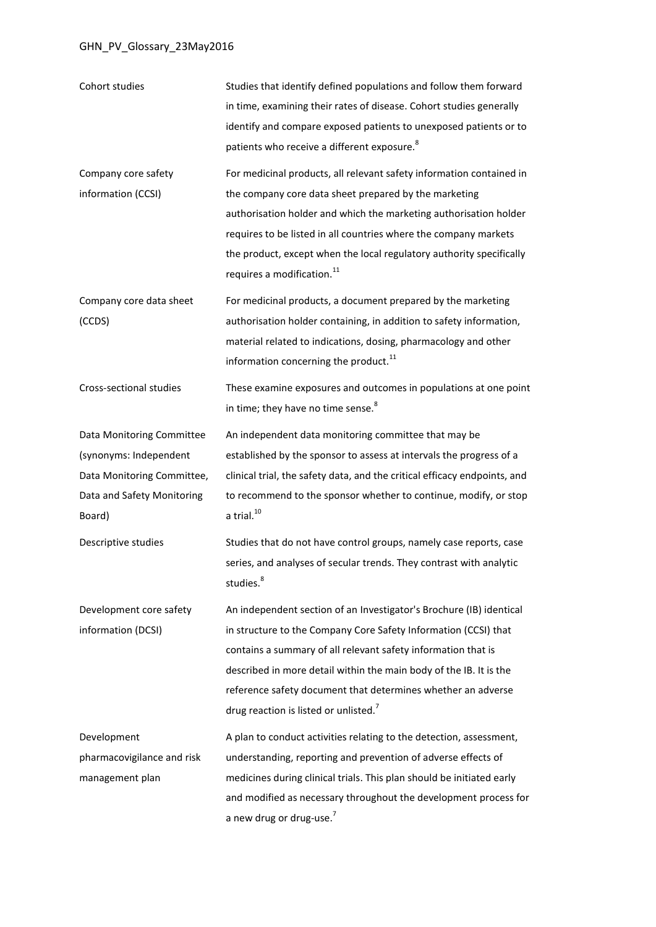<span id="page-2-0"></span>

| Cohort studies                                                                                                            | Studies that identify defined populations and follow them forward<br>in time, examining their rates of disease. Cohort studies generally<br>identify and compare exposed patients to unexposed patients or to<br>patients who receive a different exposure. <sup>8</sup>                                                                                                                           |
|---------------------------------------------------------------------------------------------------------------------------|----------------------------------------------------------------------------------------------------------------------------------------------------------------------------------------------------------------------------------------------------------------------------------------------------------------------------------------------------------------------------------------------------|
| Company core safety<br>information (CCSI)                                                                                 | For medicinal products, all relevant safety information contained in<br>the company core data sheet prepared by the marketing<br>authorisation holder and which the marketing authorisation holder<br>requires to be listed in all countries where the company markets<br>the product, except when the local regulatory authority specifically<br>requires a modification. <sup>11</sup>           |
| Company core data sheet<br>(CCDS)                                                                                         | For medicinal products, a document prepared by the marketing<br>authorisation holder containing, in addition to safety information,<br>material related to indications, dosing, pharmacology and other<br>information concerning the product. <sup>11</sup>                                                                                                                                        |
| Cross-sectional studies                                                                                                   | These examine exposures and outcomes in populations at one point<br>in time; they have no time sense. <sup>8</sup>                                                                                                                                                                                                                                                                                 |
| Data Monitoring Committee<br>(synonyms: Independent<br>Data Monitoring Committee,<br>Data and Safety Monitoring<br>Board) | An independent data monitoring committee that may be<br>established by the sponsor to assess at intervals the progress of a<br>clinical trial, the safety data, and the critical efficacy endpoints, and<br>to recommend to the sponsor whether to continue, modify, or stop<br>$a$ trial. $^{10}$                                                                                                 |
| Descriptive studies                                                                                                       | Studies that do not have control groups, namely case reports, case<br>series, and analyses of secular trends. They contrast with analytic<br>studies. <sup>8</sup>                                                                                                                                                                                                                                 |
| Development core safety<br>information (DCSI)                                                                             | An independent section of an Investigator's Brochure (IB) identical<br>in structure to the Company Core Safety Information (CCSI) that<br>contains a summary of all relevant safety information that is<br>described in more detail within the main body of the IB. It is the<br>reference safety document that determines whether an adverse<br>drug reaction is listed or unlisted. <sup>7</sup> |
| Development<br>pharmacovigilance and risk<br>management plan                                                              | A plan to conduct activities relating to the detection, assessment,<br>understanding, reporting and prevention of adverse effects of<br>medicines during clinical trials. This plan should be initiated early<br>and modified as necessary throughout the development process for<br>a new drug or drug-use. <sup>7</sup>                                                                          |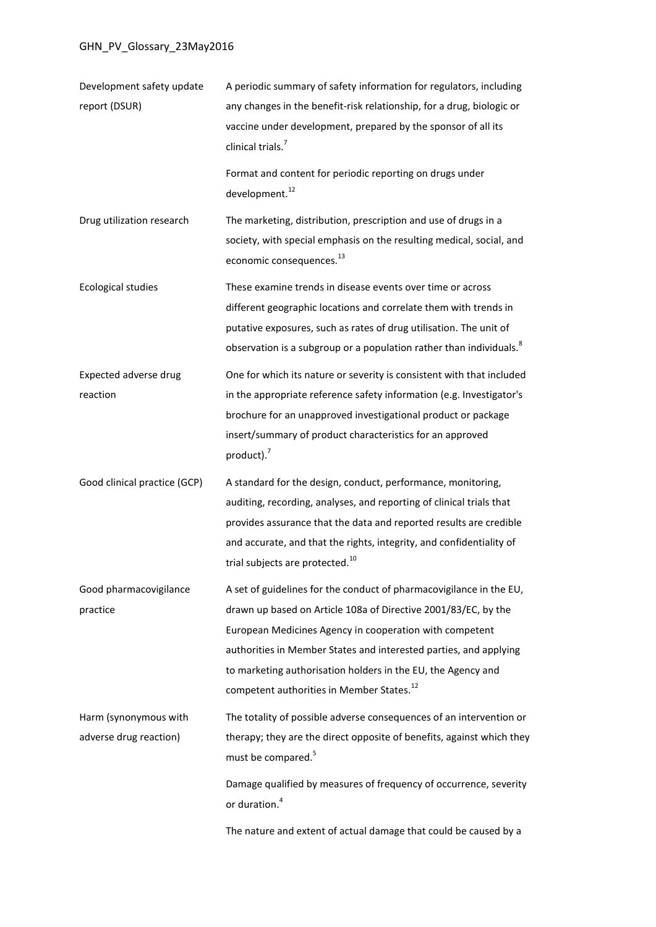<span id="page-3-0"></span>

| Development safety update<br>report (DSUR)      | A periodic summary of safety information for regulators, including<br>any changes in the benefit-risk relationship, for a drug, biologic or<br>vaccine under development, prepared by the sponsor of all its<br>clinical trials. <sup>7</sup>                                                                                                                                                  |
|-------------------------------------------------|------------------------------------------------------------------------------------------------------------------------------------------------------------------------------------------------------------------------------------------------------------------------------------------------------------------------------------------------------------------------------------------------|
|                                                 | Format and content for periodic reporting on drugs under<br>development. <sup>12</sup>                                                                                                                                                                                                                                                                                                         |
| Drug utilization research                       | The marketing, distribution, prescription and use of drugs in a<br>society, with special emphasis on the resulting medical, social, and<br>economic consequences. <sup>13</sup>                                                                                                                                                                                                                |
| <b>Ecological studies</b>                       | These examine trends in disease events over time or across<br>different geographic locations and correlate them with trends in<br>putative exposures, such as rates of drug utilisation. The unit of<br>observation is a subgroup or a population rather than individuals. <sup>8</sup>                                                                                                        |
| Expected adverse drug<br>reaction               | One for which its nature or severity is consistent with that included<br>in the appropriate reference safety information (e.g. Investigator's<br>brochure for an unapproved investigational product or package<br>insert/summary of product characteristics for an approved<br>product). $7$                                                                                                   |
| Good clinical practice (GCP)                    | A standard for the design, conduct, performance, monitoring,<br>auditing, recording, analyses, and reporting of clinical trials that<br>provides assurance that the data and reported results are credible<br>and accurate, and that the rights, integrity, and confidentiality of<br>trial subjects are protected. <sup>10</sup>                                                              |
| Good pharmacovigilance<br>practice              | A set of guidelines for the conduct of pharmacovigilance in the EU,<br>drawn up based on Article 108a of Directive 2001/83/EC, by the<br>European Medicines Agency in cooperation with competent<br>authorities in Member States and interested parties, and applying<br>to marketing authorisation holders in the EU, the Agency and<br>competent authorities in Member States. <sup>12</sup> |
| Harm (synonymous with<br>adverse drug reaction) | The totality of possible adverse consequences of an intervention or<br>therapy; they are the direct opposite of benefits, against which they<br>must be compared. <sup>5</sup>                                                                                                                                                                                                                 |
|                                                 | Damage qualified by measures of frequency of occurrence, severity<br>or duration. <sup>4</sup>                                                                                                                                                                                                                                                                                                 |
|                                                 | The nature and extent of actual damage that could be caused by a                                                                                                                                                                                                                                                                                                                               |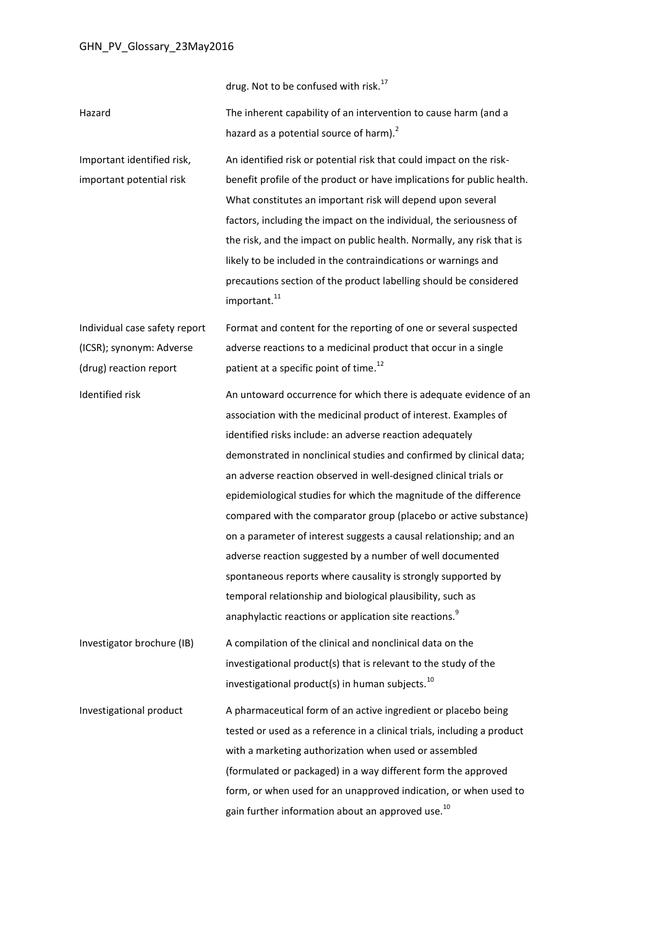drug. Not to be confused with risk.<sup>[17](#page-10-0)</sup> Hazard The inherent capability of an intervention to cause harm (and a hazard as a potential source of harm).<sup>[2](#page-0-0)</sup> Important identified risk, important potential risk An identified risk or potential risk that could impact on the riskbenefit profile of the product or have implications for public health. What constitutes an important risk will depend upon several factors, including the impact on the individual, the seriousness of the risk, and the impact on public health. Normally, any risk that is likely to be included in the contraindications or warnings and precautions section of the product labelling should be considered important.<sup>[11](#page-2-0)</sup> Individual case safety report (ICSR); synonym: Adverse (drug) reaction report Format and content for the reporting of one or several suspected adverse reactions to a medicinal product that occur in a single patient at a specific point of time.<sup>[12](#page-3-0)</sup> Identified risk An untoward occurrence for which there is adequate evidence of an association with the medicinal product of interest. Examples of identified risks include: an adverse reaction adequately demonstrated in nonclinical studies and confirmed by clinical data; an adverse reaction observed in well-designed clinical trials or epidemiological studies for which the magnitude of the difference compared with the comparator group (placebo or active substance) on a parameter of interest suggests a causal relationship; and an adverse reaction suggested by a number of well documented spontaneous reports where causality is strongly supported by temporal relationship and biological plausibility, such as anaphylactic reactions or application site reactions[.](#page-1-2)<sup>9</sup> Investigator brochure (IB) A compilation of the clinical and nonclinical data on the investigational product(s) that is relevant to the study of the investigational product(s) in human subjects. $^{10}$  $^{10}$  $^{10}$ Investigational product A pharmaceutical form of an active ingredient or placebo being tested or used as a reference in a clinical trials, including a product with a marketing authorization when used or assembled (formulated or packaged) in a way different form the approved form, or when used for an unapproved indication, or when used to gain further information about an approved use.<sup>[10](#page-1-1)</sup>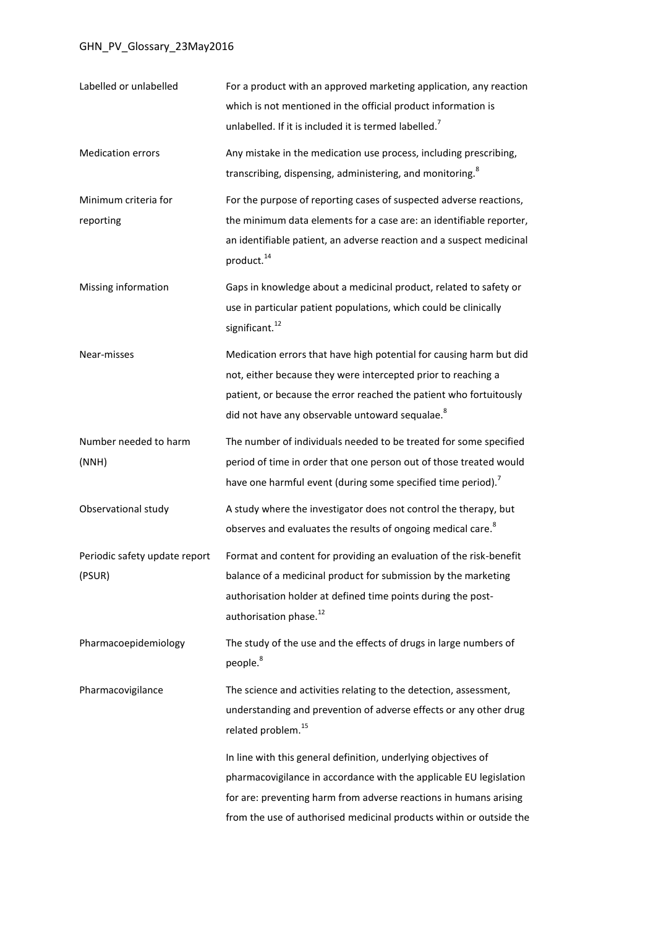<span id="page-5-1"></span><span id="page-5-0"></span>

| Labelled or unlabelled                  | For a product with an approved marketing application, any reaction<br>which is not mentioned in the official product information is<br>unlabelled. If it is included it is termed labelled. <sup>7</sup>                                                                         |
|-----------------------------------------|----------------------------------------------------------------------------------------------------------------------------------------------------------------------------------------------------------------------------------------------------------------------------------|
| <b>Medication errors</b>                | Any mistake in the medication use process, including prescribing,<br>transcribing, dispensing, administering, and monitoring. <sup>8</sup>                                                                                                                                       |
| Minimum criteria for<br>reporting       | For the purpose of reporting cases of suspected adverse reactions,<br>the minimum data elements for a case are: an identifiable reporter,<br>an identifiable patient, an adverse reaction and a suspect medicinal<br>product. <sup>14</sup>                                      |
| Missing information                     | Gaps in knowledge about a medicinal product, related to safety or<br>use in particular patient populations, which could be clinically<br>significant. <sup>12</sup>                                                                                                              |
| Near-misses                             | Medication errors that have high potential for causing harm but did<br>not, either because they were intercepted prior to reaching a<br>patient, or because the error reached the patient who fortuitously<br>did not have any observable untoward sequalae. <sup>8</sup>        |
| Number needed to harm<br>(NNH)          | The number of individuals needed to be treated for some specified<br>period of time in order that one person out of those treated would<br>have one harmful event (during some specified time period). <sup>7</sup>                                                              |
| Observational study                     | A study where the investigator does not control the therapy, but<br>observes and evaluates the results of ongoing medical care. <sup>8</sup>                                                                                                                                     |
| Periodic safety update report<br>(PSUR) | Format and content for providing an evaluation of the risk-benefit<br>balance of a medicinal product for submission by the marketing<br>authorisation holder at defined time points during the post-<br>authorisation phase. <sup>12</sup>                                       |
| Pharmacoepidemiology                    | The study of the use and the effects of drugs in large numbers of<br>people. <sup>8</sup>                                                                                                                                                                                        |
| Pharmacovigilance                       | The science and activities relating to the detection, assessment,<br>understanding and prevention of adverse effects or any other drug<br>related problem. <sup>15</sup>                                                                                                         |
|                                         | In line with this general definition, underlying objectives of<br>pharmacovigilance in accordance with the applicable EU legislation<br>for are: preventing harm from adverse reactions in humans arising<br>from the use of authorised medicinal products within or outside the |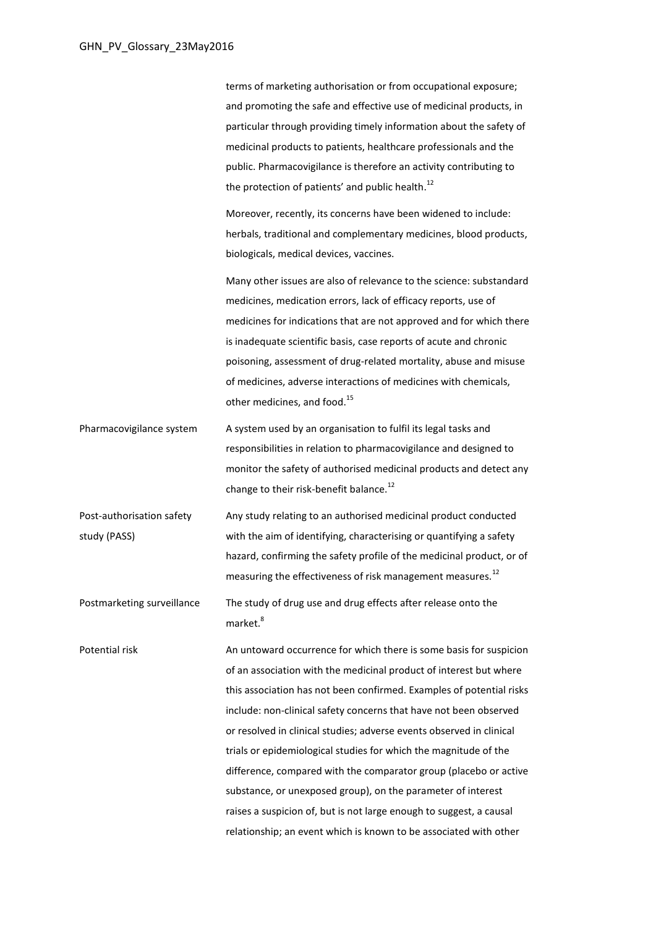terms of marketing authorisation or from occupational exposure; and promoting the safe and effective use of medicinal products, in particular through providing timely information about the safety of medicinal products to patients, healthcare professionals and the public. Pharmacovigilance is therefore an activity contributing to the protection of patients' and public health.<sup>[12](#page-3-0)</sup>

Moreover, recently, its concerns have been widened to include: herbals, traditional and complementary medicines, blood products, biologicals, medical devices, vaccines.

Many other issues are also of relevance to the science: substandard medicines, medication errors, lack of efficacy reports, use of medicines for indications that are not approved and for which there is inadequate scientific basis, case reports of acute and chronic poisoning, assessment of drug-related mortality, abuse and misuse of medicines, adverse interactions of medicines with chemicals, other medicines, and food.<sup>[15](#page-5-0)</sup>

Pharmacovigilance system A system used by an organisation to fulfil its legal tasks and responsibilities in relation to pharmacovigilance and designed to monitor the safety of authorised medicinal products and detect any change to their risk-benefit balance.<sup>[12](#page-3-0)</sup>

Post-authorisation safety study (PASS) Any study relating to an authorised medicinal product conducted with the aim of identifying, characterising or quantifying a safety hazard, confirming the safety profile of the medicinal product, or of measuring the effectiveness of risk management measures.<sup>[12](#page-3-0)</sup>

Postmarketing surveillance The study of drug use and drug effects after release onto the marke[t.](#page-1-0)<sup>8</sup>

Potential risk **An untoward occurrence for which there is some basis for suspicion** of an association with the medicinal product of interest but where this association has not been confirmed. Examples of potential risks include: non-clinical safety concerns that have not been observed or resolved in clinical studies; adverse events observed in clinical trials or epidemiological studies for which the magnitude of the difference, compared with the comparator group (placebo or active substance, or unexposed group), on the parameter of interest raises a suspicion of, but is not large enough to suggest, a causal relationship; an event which is known to be associated with other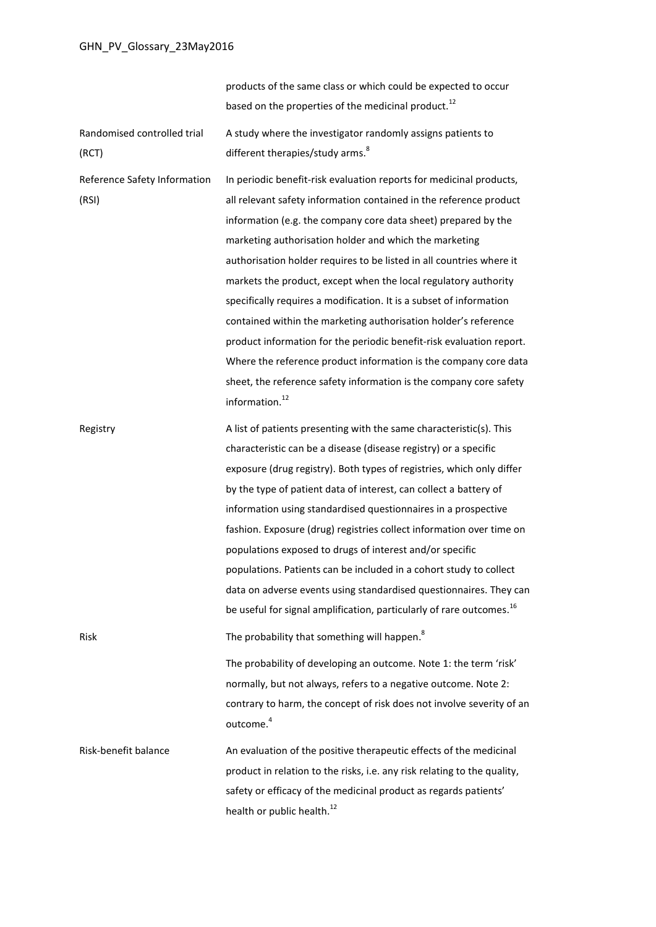products of the same class or which could be expected to occur based on the properties of the medicinal product.<sup>[12](#page-3-0)</sup> Randomised controlled trial (RCT) A study where the investigator randomly assigns patients to different therapies/study arms[.](#page-1-0)<sup>8</sup> Reference Safety Information (RSI) In periodic benefit-risk evaluation reports for medicinal products, all relevant safety information contained in the reference product information (e.g. the company core data sheet) prepared by the marketing authorisation holder and which the marketing authorisation holder requires to be listed in all countries where it markets the product, except when the local regulatory authority specifically requires a modification. It is a subset of information contained within the marketing authorisation holder's reference product information for the periodic benefit-risk evaluation report. Where the reference product information is the company core data sheet, the reference safety information is the company core safety information. [12](#page-3-0) Registry **A** list of patients presenting with the same characteristic(s). This characteristic can be a disease (disease registry) or a specific exposure (drug registry). Both types of registries, which only differ by the type of patient data of interest, can collect a battery of information using standardised questionnaires in a prospective fashion. Exposure (drug) registries collect information over time on populations exposed to drugs of interest and/or specific populations. Patients can be included in a cohort study to collect data on adverse events using standardised questionnaires. They can be useful for signal amplification, particularly of rare outcomes.<sup>16</sup> Risk **The probability that something will happen[.](#page-1-0)**<sup>8</sup> The probability of developing an outcome. Note 1: the term 'risk' normally, but not always, refers to a negative outcome. Note 2: contrary to harm, the concept of risk does not involve severity of an outcome. [4](#page-0-5) Risk-benefit balance An evaluation of the positive therapeutic effects of the medicinal product in relation to the risks, i.e. any risk relating to the quality, safety or efficacy of the medicinal product as regards patients' health or public health. $^{12}$  $^{12}$  $^{12}$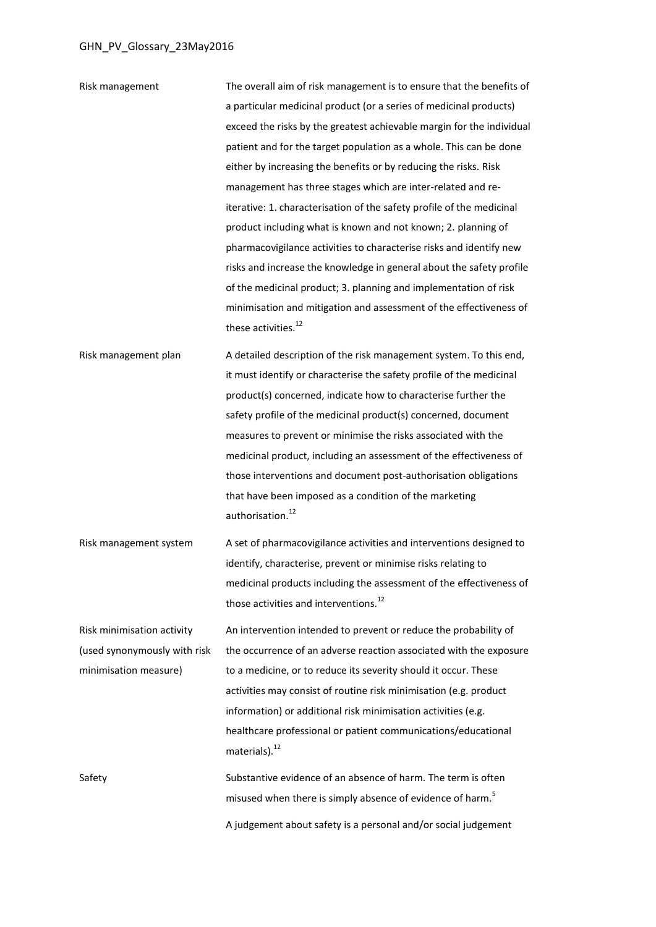| Risk management              | The overall aim of risk management is to ensure that the benefits of                       |
|------------------------------|--------------------------------------------------------------------------------------------|
|                              | a particular medicinal product (or a series of medicinal products)                         |
|                              | exceed the risks by the greatest achievable margin for the individual                      |
|                              | patient and for the target population as a whole. This can be done                         |
|                              | either by increasing the benefits or by reducing the risks. Risk                           |
|                              | management has three stages which are inter-related and re-                                |
|                              | iterative: 1. characterisation of the safety profile of the medicinal                      |
|                              | product including what is known and not known; 2. planning of                              |
|                              | pharmacovigilance activities to characterise risks and identify new                        |
|                              | risks and increase the knowledge in general about the safety profile                       |
|                              | of the medicinal product; 3. planning and implementation of risk                           |
|                              | minimisation and mitigation and assessment of the effectiveness of                         |
|                              | these activities. <sup>12</sup>                                                            |
| Risk management plan         | A detailed description of the risk management system. To this end,                         |
|                              | it must identify or characterise the safety profile of the medicinal                       |
|                              | product(s) concerned, indicate how to characterise further the                             |
|                              | safety profile of the medicinal product(s) concerned, document                             |
|                              | measures to prevent or minimise the risks associated with the                              |
|                              | medicinal product, including an assessment of the effectiveness of                         |
|                              | those interventions and document post-authorisation obligations                            |
|                              | that have been imposed as a condition of the marketing                                     |
|                              | authorisation. <sup>12</sup>                                                               |
| Risk management system       | A set of pharmacovigilance activities and interventions designed to                        |
|                              | identify, characterise, prevent or minimise risks relating to                              |
|                              | medicinal products including the assessment of the effectiveness of                        |
|                              | those activities and interventions. <sup>12</sup>                                          |
|                              |                                                                                            |
| Risk minimisation activity   | An intervention intended to prevent or reduce the probability of                           |
| (used synonymously with risk | the occurrence of an adverse reaction associated with the exposure                         |
| minimisation measure)        | to a medicine, or to reduce its severity should it occur. These                            |
|                              | activities may consist of routine risk minimisation (e.g. product                          |
|                              | information) or additional risk minimisation activities (e.g.                              |
|                              | healthcare professional or patient communications/educational<br>materials). <sup>12</sup> |
| Safety                       | Substantive evidence of an absence of harm. The term is often                              |
|                              | misused when there is simply absence of evidence of harm. <sup>5</sup>                     |
|                              | A judgement about safety is a personal and/or social judgement                             |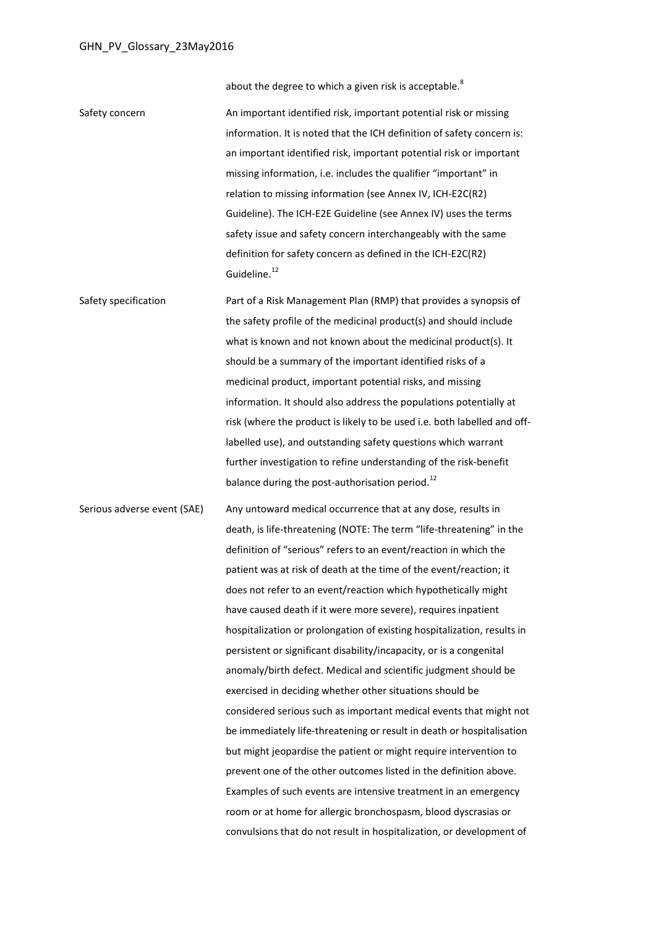about the degree to which a given risk is acceptabl[e.](#page-1-0)<sup>8</sup>

Safety concern An important identified risk, important potential risk or missing information. It is noted that the ICH definition of safety concern is: an important identified risk, important potential risk or important missing information, i.e. includes the qualifier "important" in relation to missing information (see Annex IV, ICH-E2C(R2) Guideline). The ICH-E2E Guideline (see Annex IV) uses the terms safety issue and safety concern interchangeably with the same definition for safety concern as defined in the ICH-E2C(R2) Guideline.<sup>[12](#page-3-0)</sup>

Safety specification **Part of a Risk Management Plan (RMP)** that provides a synopsis of the safety profile of the medicinal product(s) and should include what is known and not known about the medicinal product(s). It should be a summary of the important identified risks of a medicinal product, important potential risks, and missing information. It should also address the populations potentially at risk (where the product is likely to be used i.e. both labelled and offlabelled use), and outstanding safety questions which warrant further investigation to refine understanding of the risk-benefit balance during the post-authorisation period.<sup>[12](#page-3-0)</sup>

Serious adverse event (SAE) Any untoward medical occurrence that at any dose, results in death, is life-threatening (NOTE: The term "life-threatening" in the definition of "serious" refers to an event/reaction in which the patient was at risk of death at the time of the event/reaction; it does not refer to an event/reaction which hypothetically might have caused death if it were more severe), requires inpatient hospitalization or prolongation of existing hospitalization, results in persistent or significant disability/incapacity, or is a congenital anomaly/birth defect. Medical and scientific judgment should be exercised in deciding whether other situations should be considered serious such as important medical events that might not be immediately life-threatening or result in death or hospitalisation but might jeopardise the patient or might require intervention to prevent one of the other outcomes listed in the definition above. Examples of such events are intensive treatment in an emergency room or at home for allergic bronchospasm, blood dyscrasias or convulsions that do not result in hospitalization, or development of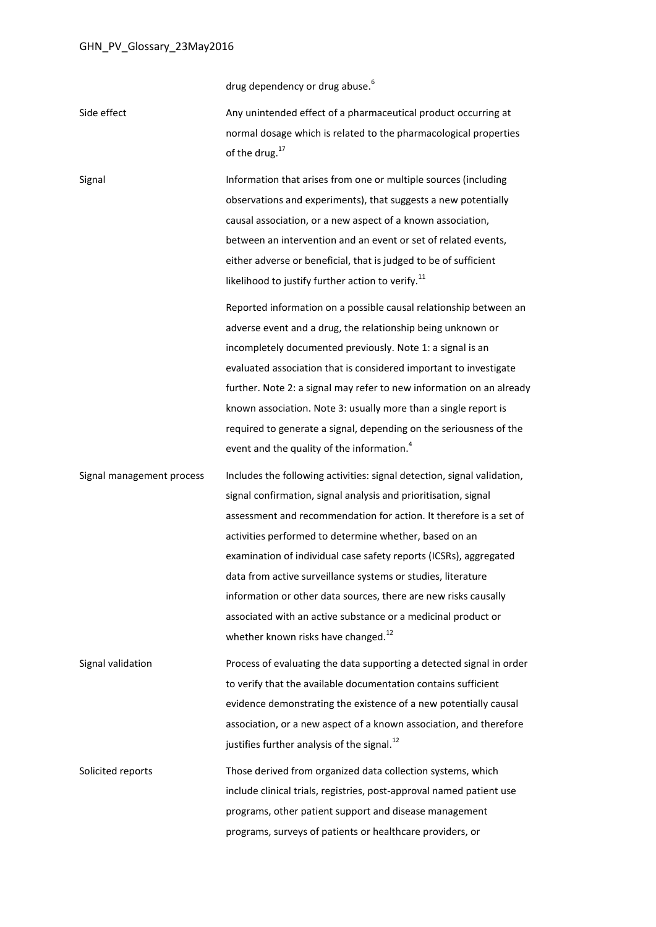<span id="page-10-0"></span>drug dependency or drug abuse.<sup>[6](#page-0-1)</sup>

| Side effect | Any unintended effect of a pharmaceutical product occurring at   |
|-------------|------------------------------------------------------------------|
|             | normal dosage which is related to the pharmacological properties |
|             | of the drug. $17$                                                |

Signal Information that arises from one or multiple sources (including observations and experiments), that suggests a new potentially causal association, or a new aspect of a known association, between an intervention and an event or set of related events, either adverse or beneficial, that is judged to be of sufficient likelihood to justify further action to verify. $^{11}$  $^{11}$  $^{11}$ 

> Reported information on a possible causal relationship between an adverse event and a drug, the relationship being unknown or incompletely documented previously. Note 1: a signal is an evaluated association that is considered important to investigate further. Note 2: a signal may refer to new information on an already known association. Note 3: usually more than a single report is required to generate a signal, depending on the seriousness of the event and the quality of the information.<sup>[4](#page-0-5)</sup>

Signal management process Includes the following activities: signal detection, signal validation, signal confirmation, signal analysis and prioritisation, signal assessment and recommendation for action. It therefore is a set of activities performed to determine whether, based on an examination of individual case safety reports (ICSRs), aggregated data from active surveillance systems or studies, literature information or other data sources, there are new risks causally associated with an active substance or a medicinal product or whether known risks have changed.<sup>[12](#page-3-0)</sup>

Signal validation Process of evaluating the data supporting a detected signal in order to verify that the available documentation contains sufficient evidence demonstrating the existence of a new potentially causal association, or a new aspect of a known association, and therefore justifies further analysis of the signal. $^{12}$  $^{12}$  $^{12}$ 

Solicited reports Those derived from organized data collection systems, which include clinical trials, registries, post-approval named patient use programs, other patient support and disease management programs, surveys of patients or healthcare providers, or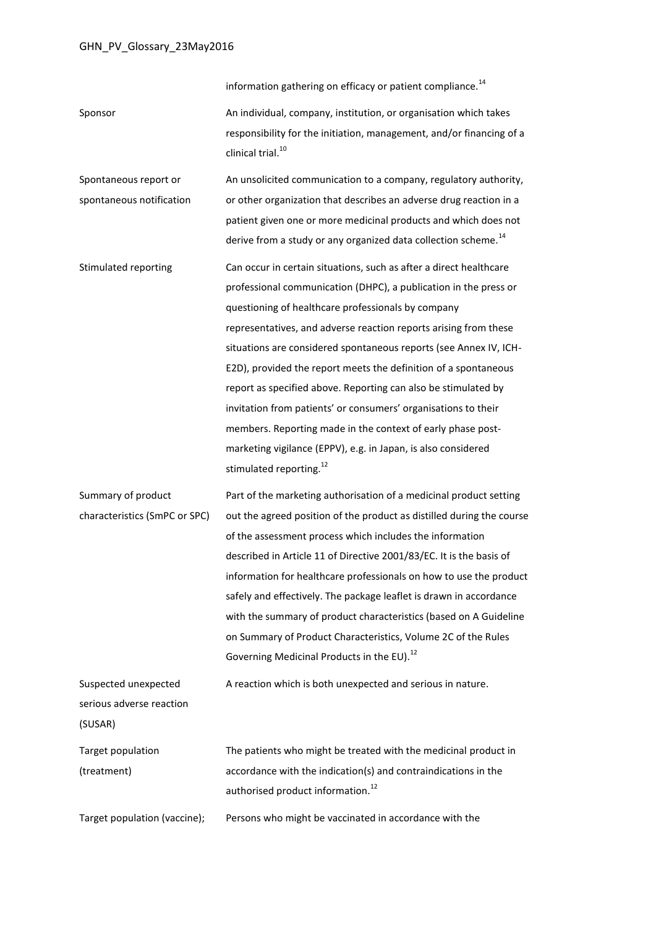information gathering on efficacy or patient compliance. $^{14}$  $^{14}$  $^{14}$ 

Sponsor An individual, company, institution, or organisation which takes responsibility for the initiation, management, and/or financing of a clinical trial  $^{10}$  $^{10}$  $^{10}$ 

Spontaneous report or spontaneous notification An unsolicited communication to a company, regulatory authority, or other organization that describes an adverse drug reaction in a patient given one or more medicinal products and which does not derive from a study or any organized data collection scheme.<sup>[14](#page-5-1)</sup>

Stimulated reporting Can occur in certain situations, such as after a direct healthcare professional communication (DHPC), a publication in the press or questioning of healthcare professionals by company representatives, and adverse reaction reports arising from these situations are considered spontaneous reports (see Annex IV, ICH-E2D), provided the report meets the definition of a spontaneous report as specified above. Reporting can also be stimulated by invitation from patients' or consumers' organisations to their members. Reporting made in the context of early phase postmarketing vigilance (EPPV), e.g. in Japan, is also considered stimulated reporting.<sup>[12](#page-3-0)</sup>

Summary of product characteristics (SmPC or SPC) Part of the marketing authorisation of a medicinal product setting out the agreed position of the product as distilled during the course of the assessment process which includes the information described in Article 11 of Directive 2001/83/EC. It is the basis of information for healthcare professionals on how to use the product safely and effectively. The package leaflet is drawn in accordance with the summary of product characteristics (based on A Guideline on Summary of Product Characteristics, Volume 2C of the Rules Governing Medicinal Products in the EU).<sup>[12](#page-3-0)</sup>

Suspected unexpected serious adverse reaction (SUSAR) A reaction which is both unexpected and serious in nature. Target population (treatment) The patients who might be treated with the medicinal product in accordance with the indication(s) and contraindications in the authorised product information.<sup>[12](#page-3-0)</sup>

Target population (vaccine); Persons who might be vaccinated in accordance with the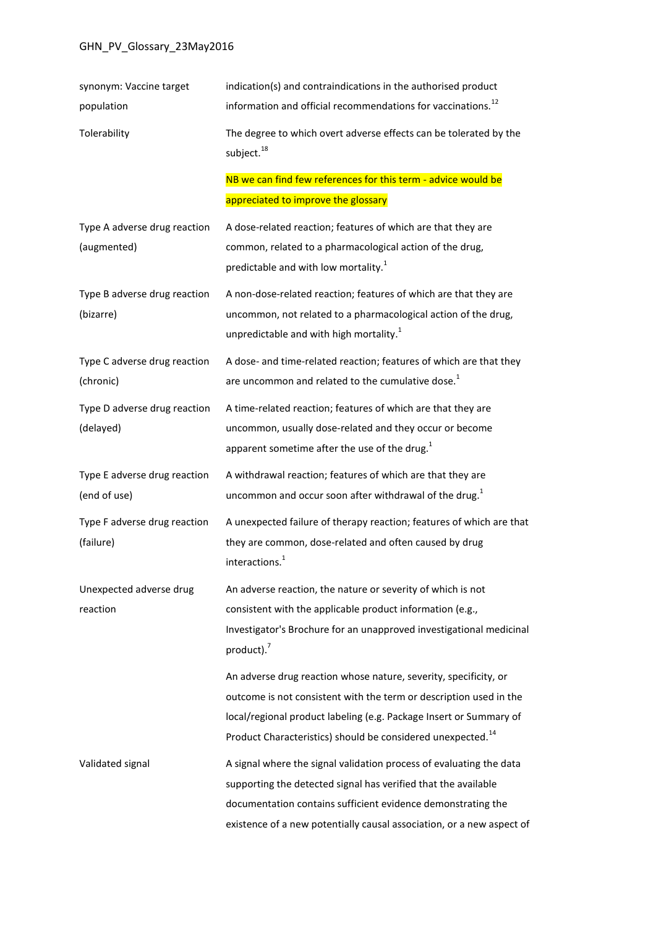| synonym: Vaccine target<br>population        | indication(s) and contraindications in the authorised product<br>information and official recommendations for vaccinations. <sup>12</sup>                                                                                                                                               |
|----------------------------------------------|-----------------------------------------------------------------------------------------------------------------------------------------------------------------------------------------------------------------------------------------------------------------------------------------|
| Tolerability                                 | The degree to which overt adverse effects can be tolerated by the<br>subject. <sup>18</sup>                                                                                                                                                                                             |
|                                              | NB we can find few references for this term - advice would be                                                                                                                                                                                                                           |
|                                              | appreciated to improve the glossary                                                                                                                                                                                                                                                     |
| Type A adverse drug reaction<br>(augmented)  | A dose-related reaction; features of which are that they are<br>common, related to a pharmacological action of the drug,                                                                                                                                                                |
|                                              | predictable and with low mortality. <sup>1</sup>                                                                                                                                                                                                                                        |
| Type B adverse drug reaction<br>(bizarre)    | A non-dose-related reaction; features of which are that they are<br>uncommon, not related to a pharmacological action of the drug,<br>unpredictable and with high mortality. <sup>1</sup>                                                                                               |
| Type C adverse drug reaction<br>(chronic)    | A dose- and time-related reaction; features of which are that they<br>are uncommon and related to the cumulative dose. <sup>1</sup>                                                                                                                                                     |
| Type D adverse drug reaction<br>(delayed)    | A time-related reaction; features of which are that they are<br>uncommon, usually dose-related and they occur or become<br>apparent sometime after the use of the drug. <sup>1</sup>                                                                                                    |
| Type E adverse drug reaction<br>(end of use) | A withdrawal reaction; features of which are that they are<br>uncommon and occur soon after withdrawal of the drug. <sup>1</sup>                                                                                                                                                        |
| Type F adverse drug reaction<br>(failure)    | A unexpected failure of therapy reaction; features of which are that<br>they are common, dose-related and often caused by drug<br>interactions. <sup>1</sup>                                                                                                                            |
| Unexpected adverse drug<br>reaction          | An adverse reaction, the nature or severity of which is not<br>consistent with the applicable product information (e.g.,<br>Investigator's Brochure for an unapproved investigational medicinal<br>product). $7$                                                                        |
|                                              | An adverse drug reaction whose nature, severity, specificity, or<br>outcome is not consistent with the term or description used in the<br>local/regional product labeling (e.g. Package Insert or Summary of<br>Product Characteristics) should be considered unexpected. <sup>14</sup> |
| Validated signal                             | A signal where the signal validation process of evaluating the data<br>supporting the detected signal has verified that the available<br>documentation contains sufficient evidence demonstrating the<br>existence of a new potentially causal association, or a new aspect of          |